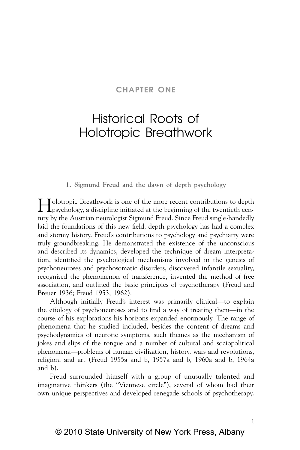### **CHAPTER ONE**

# Historical Roots of Holotropic Breathwork

**1. Sigmund Freud and the dawn of depth psychology**

Holotropic Breathwork is one of the more recent contributions to depth psychology, a discipline initiated at the beginning of the twentieth century by the Austrian neurologist Sigmund Freud. Since Freud single-handedly laid the foundations of this new field, depth psychology has had a complex and stormy history. Freud's contributions to psychology and psychiatry were truly groundbreaking. He demonstrated the existence of the unconscious and described its dynamics, developed the technique of dream interpretation, identified the psychological mechanisms involved in the genesis of psychoneuroses and psychosomatic disorders, discovered infantile sexuality, recognized the phenomenon of transference, invented the method of free association, and outlined the basic principles of psychotherapy (Freud and Breuer 1936; Freud 1953, 1962).

Although initially Freud's interest was primarily clinical—to explain the etiology of psychoneuroses and to find a way of treating them—in the course of his explorations his horizons expanded enormously. The range of phenomena that he studied included, besides the content of dreams and psychodynamics of neurotic symptoms, such themes as the mechanism of jokes and slips of the tongue and a number of cultural and sociopolitical phenomena—problems of human civilization, history, wars and revolutions, religion, and art (Freud 1955a and b, 1957a and b, 1960a and b, 1964a and b).

Freud surrounded himself with a group of unusually talented and imaginative thinkers (the "Viennese circle"), several of whom had their own unique perspectives and developed renegade schools of psychotherapy.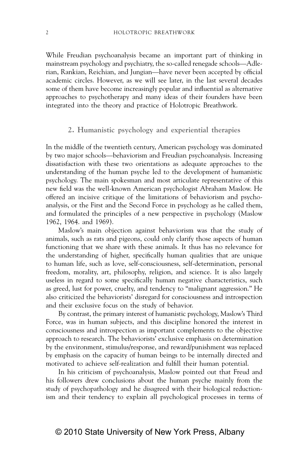While Freudian psychoanalysis became an important part of thinking in mainstream psychology and psychiatry, the so-called renegade schools—Adlerian, Rankian, Reichian, and Jungian—have never been accepted by official academic circles. However, as we will see later, in the last several decades some of them have become increasingly popular and influential as alternative approaches to psychotherapy and many ideas of their founders have been integrated into the theory and practice of Holotropic Breathwork.

#### **2. Humanistic psychology and experiential therapies**

In the middle of the twentieth century, American psychology was dominated by two major schools—behaviorism and Freudian psychoanalysis. Increasing dissatisfaction with these two orientations as adequate approaches to the understanding of the human psyche led to the development of humanistic psychology. The main spokesman and most articulate representative of this new field was the well-known American psychologist Abraham Maslow. He offered an incisive critique of the limitations of behaviorism and psychoanalysis, or the First and the Second Force in psychology as he called them, and formulated the principles of a new perspective in psychology (Maslow 1962, 1964. and 1969).

Maslow's main objection against behaviorism was that the study of animals, such as rats and pigeons, could only clarify those aspects of human functioning that we share with these animals. It thus has no relevance for the understanding of higher, specifically human qualities that are unique to human life, such as love, self-consciousness, self-determination, personal freedom, morality, art, philosophy, religion, and science. It is also largely useless in regard to some specifically human negative characteristics, such as greed, lust for power, cruelty, and tendency to "malignant aggression." He also criticized the behaviorists' disregard for consciousness and introspection and their exclusive focus on the study of behavior.

By contrast, the primary interest of humanistic psychology, Maslow's Third Force, was in human subjects, and this discipline honored the interest in consciousness and introspection as important complements to the objective approach to research. The behaviorists' exclusive emphasis on determination by the environment, stimulus/response, and reward/punishment was replaced by emphasis on the capacity of human beings to be internally directed and motivated to achieve self-realization and fulfill their human potential.

In his criticism of psychoanalysis, Maslow pointed out that Freud and his followers drew conclusions about the human psyche mainly from the study of psychopathology and he disagreed with their biological reductionism and their tendency to explain all psychological processes in terms of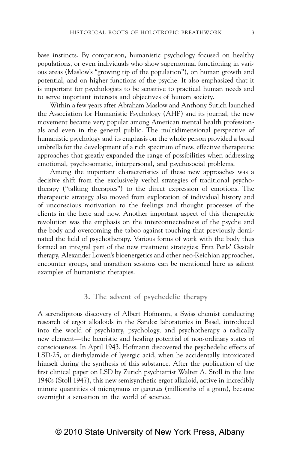base instincts. By comparison, humanistic psychology focused on healthy populations, or even individuals who show supernormal functioning in various areas (Maslow's "growing tip of the population"), on human growth and potential, and on higher functions of the psyche. It also emphasized that it is important for psychologists to be sensitive to practical human needs and to serve important interests and objectives of human society.

Within a few years after Abraham Maslow and Anthony Sutich launched the Association for Humanistic Psychology (AHP) and its journal, the new movement became very popular among American mental health professionals and even in the general public. The multidimensional perspective of humanistic psychology and its emphasis on the whole person provided a broad umbrella for the development of a rich spectrum of new, effective therapeutic approaches that greatly expanded the range of possibilities when addressing emotional, psychosomatic, interpersonal, and psychosocial problems.

Among the important characteristics of these new approaches was a decisive shift from the exclusively verbal strategies of traditional psychotherapy ("talking therapies") to the direct expression of emotions. The therapeutic strategy also moved from exploration of individual history and of unconscious motivation to the feelings and thought processes of the clients in the here and now. Another important aspect of this therapeutic revolution was the emphasis on the interconnectedness of the psyche and the body and overcoming the taboo against touching that previously dominated the field of psychotherapy. Various forms of work with the body thus formed an integral part of the new treatment strategies; Fritz Perls' Gestalt therapy, Alexander Lowen's bioenergetics and other neo-Reichian approaches, encounter groups, and marathon sessions can be mentioned here as salient examples of humanistic therapies.

#### **3. The advent of psychedelic therapy**

A serendipitous discovery of Albert Hofmann, a Swiss chemist conducting research of ergot alkaloids in the Sandoz laboratories in Basel, introduced into the world of psychiatry, psychology, and psychotherapy a radically new element—the heuristic and healing potential of non-ordinary states of consciousness. In April 1943, Hofmann discovered the psychedelic effects of LSD-25, or diethylamide of lysergic acid, when he accidentally intoxicated himself during the synthesis of this substance. After the publication of the first clinical paper on LSD by Zurich psychiatrist Walter A. Stoll in the late 1940s (Stoll 1947), this new semisynthetic ergot alkaloid, active in incredibly minute quantities of micrograms or *gammas* (millionths of a gram), became overnight a sensation in the world of science.

## © 2010 State University of New York Press, Albany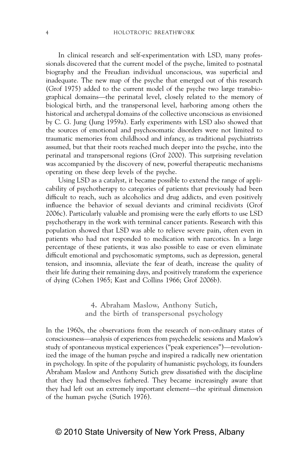In clinical research and self-experimentation with LSD, many professionals discovered that the current model of the psyche, limited to postnatal biography and the Freudian individual unconscious, was superficial and inadequate. The new map of the psyche that emerged out of this research (Grof 1975) added to the current model of the psyche two large transbiographical domains—the perinatal level, closely related to the memory of biological birth, and the transpersonal level, harboring among others the historical and archetypal domains of the collective unconscious as envisioned by C. G. Jung (Jung 1959a). Early experiments with LSD also showed that the sources of emotional and psychosomatic disorders were not limited to traumatic memories from childhood and infancy, as traditional psychiatrists assumed, but that their roots reached much deeper into the psyche, into the perinatal and transpersonal regions (Grof 2000). This surprising revelation was accompanied by the discovery of new, powerful therapeutic mechanisms operating on these deep levels of the psyche.

Using LSD as a catalyst, it became possible to extend the range of applicability of psychotherapy to categories of patients that previously had been difficult to reach, such as alcoholics and drug addicts, and even positively influence the behavior of sexual deviants and criminal recidivists (Grof 2006c). Particularly valuable and promising were the early efforts to use LSD psychotherapy in the work with terminal cancer patients. Research with this population showed that LSD was able to relieve severe pain, often even in patients who had not responded to medication with narcotics. In a large percentage of these patients, it was also possible to ease or even eliminate difficult emotional and psychosomatic symptoms, such as depression, general tension, and insomnia, alleviate the fear of death, increase the quality of their life during their remaining days, and positively transform the experience of dying (Cohen 1965; Kast and Collins 1966; Grof 2006b).

> **4. Abraham Maslow, Anthony Sutich, and the birth of transpersonal psychology**

In the 1960s, the observations from the research of non-ordinary states of consciousness—analysis of experiences from psychedelic sessions and Maslow's study of spontaneous mystical experiences ("peak experiences")—revolutionized the image of the human psyche and inspired a radically new orientation in psychology. In spite of the popularity of humanistic psychology, its founders Abraham Maslow and Anthony Sutich grew dissatisfied with the discipline that they had themselves fathered. They became increasingly aware that they had left out an extremely important element—the spiritual dimension of the human psyche (Sutich 1976).